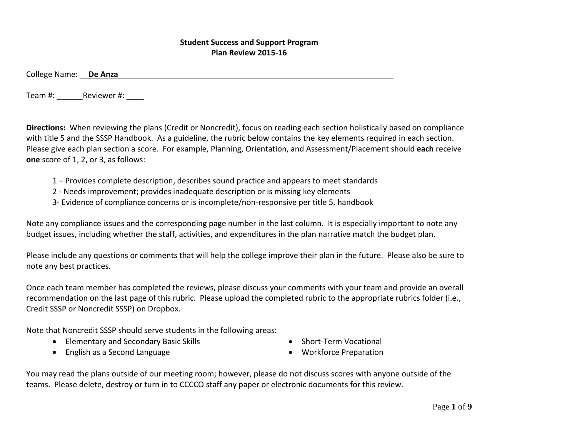## **Student Success and Support Program Plan Review 2015-16**

College Name: \_\_**De Anza**

Team #: \_\_\_\_\_\_Reviewer #: \_\_\_\_

**Directions:** When reviewing the plans (Credit or Noncredit), focus on reading each section holistically based on compliance with title 5 and the SSSP Handbook. As a guideline, the rubric below contains the key elements required in each section. Please give each plan section a score. For example, Planning, Orientation, and Assessment/Placement should **each** receive **one** score of 1, 2, or 3, as follows:

- 1 Provides complete description, describes sound practice and appears to meet standards
- 2 Needs improvement; provides inadequate description or is missing key elements
- 3- Evidence of compliance concerns or is incomplete/non-responsive per title 5, handbook

Note any compliance issues and the corresponding page number in the last column. It is especially important to note any budget issues, including whether the staff, activities, and expenditures in the plan narrative match the budget plan.

Please include any questions or comments that will help the college improve their plan in the future. Please also be sure to note any best practices.

Once each team member has completed the reviews, please discuss your comments with your team and provide an overall recommendation on the last page of this rubric. Please upload the completed rubric to the appropriate rubrics folder (i.e., Credit SSSP or Noncredit SSSP) on Dropbox.

Note that Noncredit SSSP should serve students in the following areas:

- Elementary and Secondary Basic Skills
- English as a Second Language
- Short-Term Vocational
- Workforce Preparation

You may read the plans outside of our meeting room; however, please do not discuss scores with anyone outside of the teams. Please delete, destroy or turn in to CCCCO staff any paper or electronic documents for this review.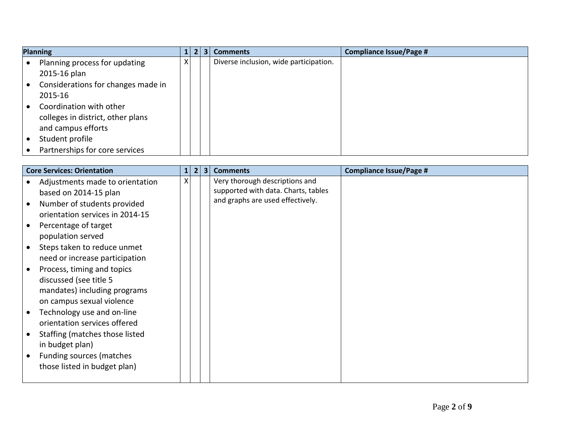| <b>Planning</b>                    | 1 | 31 | <b>Comments</b>                        | <b>Compliance Issue/Page #</b> |
|------------------------------------|---|----|----------------------------------------|--------------------------------|
| Planning process for updating      | x |    | Diverse inclusion, wide participation. |                                |
| 2015-16 plan                       |   |    |                                        |                                |
| Considerations for changes made in |   |    |                                        |                                |
| 2015-16                            |   |    |                                        |                                |
| Coordination with other            |   |    |                                        |                                |
| colleges in district, other plans  |   |    |                                        |                                |
| and campus efforts                 |   |    |                                        |                                |
| Student profile                    |   |    |                                        |                                |
| Partnerships for core services     |   |    |                                        |                                |

| <b>Core Services: Orientation</b> | $\mathbf{1}$ | $\overline{2}$<br>3 | <b>Comments</b>                     | <b>Compliance Issue/Page #</b> |
|-----------------------------------|--------------|---------------------|-------------------------------------|--------------------------------|
| Adjustments made to orientation   | Χ            |                     | Very thorough descriptions and      |                                |
| based on 2014-15 plan             |              |                     | supported with data. Charts, tables |                                |
| Number of students provided       |              |                     | and graphs are used effectively.    |                                |
| orientation services in 2014-15   |              |                     |                                     |                                |
| Percentage of target              |              |                     |                                     |                                |
| population served                 |              |                     |                                     |                                |
| Steps taken to reduce unmet       |              |                     |                                     |                                |
| need or increase participation    |              |                     |                                     |                                |
| Process, timing and topics        |              |                     |                                     |                                |
| discussed (see title 5            |              |                     |                                     |                                |
| mandates) including programs      |              |                     |                                     |                                |
| on campus sexual violence         |              |                     |                                     |                                |
| Technology use and on-line        |              |                     |                                     |                                |
| orientation services offered      |              |                     |                                     |                                |
| Staffing (matches those listed    |              |                     |                                     |                                |
| in budget plan)                   |              |                     |                                     |                                |
| Funding sources (matches          |              |                     |                                     |                                |
| those listed in budget plan)      |              |                     |                                     |                                |
|                                   |              |                     |                                     |                                |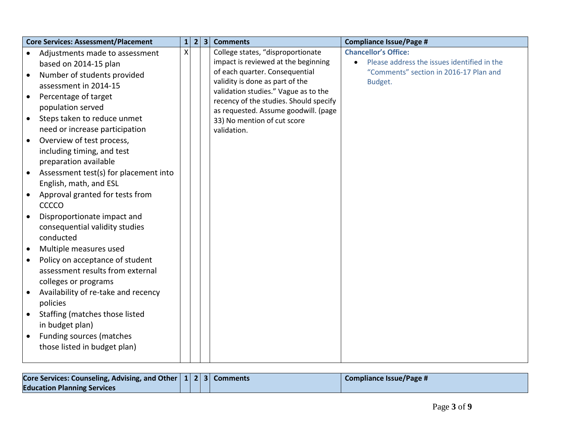| <b>Core Services: Assessment/Placement</b>         | $\mathbf{1}$ | $\overline{2}$ | $\overline{\mathbf{3}}$ | <b>Comments</b>                                                                | <b>Compliance Issue/Page #</b>              |
|----------------------------------------------------|--------------|----------------|-------------------------|--------------------------------------------------------------------------------|---------------------------------------------|
| Adjustments made to assessment<br>$\bullet$        | X            |                |                         | College states, "disproportionate                                              | <b>Chancellor's Office:</b>                 |
| based on 2014-15 plan                              |              |                |                         | impact is reviewed at the beginning                                            | Please address the issues identified in the |
| Number of students provided<br>$\bullet$           |              |                |                         | of each quarter. Consequential                                                 | "Comments" section in 2016-17 Plan and      |
| assessment in 2014-15                              |              |                |                         | validity is done as part of the                                                | Budget.                                     |
| Percentage of target<br>$\bullet$                  |              |                |                         | validation studies." Vague as to the<br>recency of the studies. Should specify |                                             |
| population served                                  |              |                |                         | as requested. Assume goodwill. (page                                           |                                             |
| Steps taken to reduce unmet<br>$\bullet$           |              |                |                         | 33) No mention of cut score                                                    |                                             |
| need or increase participation                     |              |                |                         | validation.                                                                    |                                             |
| Overview of test process,<br>$\bullet$             |              |                |                         |                                                                                |                                             |
| including timing, and test                         |              |                |                         |                                                                                |                                             |
| preparation available                              |              |                |                         |                                                                                |                                             |
| Assessment test(s) for placement into<br>$\bullet$ |              |                |                         |                                                                                |                                             |
| English, math, and ESL                             |              |                |                         |                                                                                |                                             |
| Approval granted for tests from                    |              |                |                         |                                                                                |                                             |
| CCCCO                                              |              |                |                         |                                                                                |                                             |
| Disproportionate impact and<br>$\bullet$           |              |                |                         |                                                                                |                                             |
| consequential validity studies                     |              |                |                         |                                                                                |                                             |
| conducted                                          |              |                |                         |                                                                                |                                             |
| Multiple measures used                             |              |                |                         |                                                                                |                                             |
| Policy on acceptance of student                    |              |                |                         |                                                                                |                                             |
| assessment results from external                   |              |                |                         |                                                                                |                                             |
| colleges or programs                               |              |                |                         |                                                                                |                                             |
| Availability of re-take and recency<br>$\bullet$   |              |                |                         |                                                                                |                                             |
| policies                                           |              |                |                         |                                                                                |                                             |
| Staffing (matches those listed<br>$\bullet$        |              |                |                         |                                                                                |                                             |
| in budget plan)                                    |              |                |                         |                                                                                |                                             |
| Funding sources (matches                           |              |                |                         |                                                                                |                                             |
| those listed in budget plan)                       |              |                |                         |                                                                                |                                             |
|                                                    |              |                |                         |                                                                                |                                             |

| Core Services: Counseling, Advising, and Other $ 1 2 3 $ Comments |  |  | Compliance Issue/Page # |
|-------------------------------------------------------------------|--|--|-------------------------|
| <b>Education Planning Services</b>                                |  |  |                         |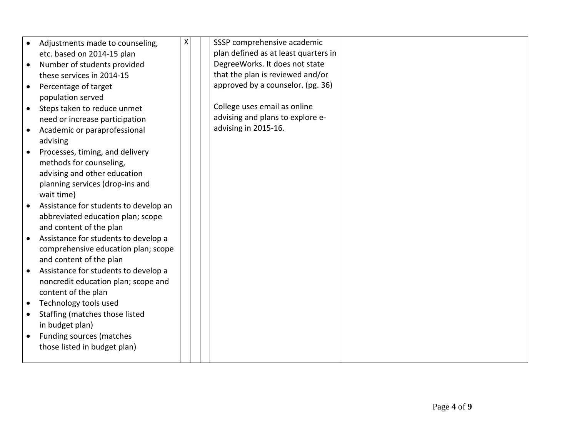|           | Adjustments made to counseling,       | X | SSSP comprehensive academic          |  |
|-----------|---------------------------------------|---|--------------------------------------|--|
|           | etc. based on 2014-15 plan            |   | plan defined as at least quarters in |  |
| $\bullet$ | Number of students provided           |   | DegreeWorks. It does not state       |  |
|           | these services in 2014-15             |   | that the plan is reviewed and/or     |  |
| $\bullet$ | Percentage of target                  |   | approved by a counselor. (pg. 36)    |  |
|           | population served                     |   |                                      |  |
| $\bullet$ | Steps taken to reduce unmet           |   | College uses email as online         |  |
|           | need or increase participation        |   | advising and plans to explore e-     |  |
| $\bullet$ | Academic or paraprofessional          |   | advising in 2015-16.                 |  |
|           | advising                              |   |                                      |  |
|           | Processes, timing, and delivery       |   |                                      |  |
|           | methods for counseling,               |   |                                      |  |
|           | advising and other education          |   |                                      |  |
|           | planning services (drop-ins and       |   |                                      |  |
|           | wait time)                            |   |                                      |  |
|           | Assistance for students to develop an |   |                                      |  |
|           | abbreviated education plan; scope     |   |                                      |  |
|           | and content of the plan               |   |                                      |  |
|           | Assistance for students to develop a  |   |                                      |  |
|           | comprehensive education plan; scope   |   |                                      |  |
|           | and content of the plan               |   |                                      |  |
|           | Assistance for students to develop a  |   |                                      |  |
|           | noncredit education plan; scope and   |   |                                      |  |
|           | content of the plan                   |   |                                      |  |
|           | Technology tools used                 |   |                                      |  |
|           | Staffing (matches those listed        |   |                                      |  |
|           | in budget plan)                       |   |                                      |  |
|           | Funding sources (matches              |   |                                      |  |
|           | those listed in budget plan)          |   |                                      |  |
|           |                                       |   |                                      |  |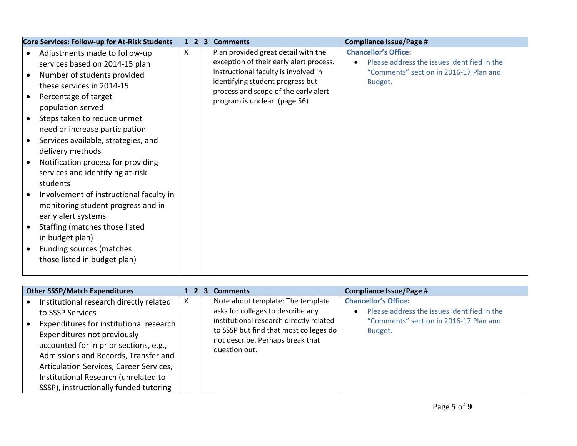| Core Services: Follow-up for At-Risk Students | $\mathbf{1}$ | $\overline{2}$<br>3 <sup>1</sup> | <b>Comments</b>                         | <b>Compliance Issue/Page #</b>              |
|-----------------------------------------------|--------------|----------------------------------|-----------------------------------------|---------------------------------------------|
| Adjustments made to follow-up                 | X            |                                  | Plan provided great detail with the     | <b>Chancellor's Office:</b>                 |
| services based on 2014-15 plan                |              |                                  | exception of their early alert process. | Please address the issues identified in the |
| Number of students provided                   |              |                                  | Instructional faculty is involved in    | "Comments" section in 2016-17 Plan and      |
| these services in 2014-15                     |              |                                  | identifying student progress but        | Budget.                                     |
| Percentage of target                          |              |                                  | process and scope of the early alert    |                                             |
| population served                             |              |                                  | program is unclear. (page 56)           |                                             |
| Steps taken to reduce unmet                   |              |                                  |                                         |                                             |
| need or increase participation                |              |                                  |                                         |                                             |
| Services available, strategies, and           |              |                                  |                                         |                                             |
|                                               |              |                                  |                                         |                                             |
| delivery methods                              |              |                                  |                                         |                                             |
| Notification process for providing            |              |                                  |                                         |                                             |
| services and identifying at-risk              |              |                                  |                                         |                                             |
| students                                      |              |                                  |                                         |                                             |
| Involvement of instructional faculty in       |              |                                  |                                         |                                             |
| monitoring student progress and in            |              |                                  |                                         |                                             |
| early alert systems                           |              |                                  |                                         |                                             |
| Staffing (matches those listed                |              |                                  |                                         |                                             |
| in budget plan)                               |              |                                  |                                         |                                             |
| Funding sources (matches                      |              |                                  |                                         |                                             |
| those listed in budget plan)                  |              |                                  |                                         |                                             |
|                                               |              |                                  |                                         |                                             |

| <b>Other SSSP/Match Expenditures</b>                                                                                                                                                                                                                                                                                                                 |   | $\mathbf{2}$ | $\overline{\mathbf{3}}$ | <b>Comments</b>                                                                                                                                                                                                  | <b>Compliance Issue/Page #</b>                                                                                                  |
|------------------------------------------------------------------------------------------------------------------------------------------------------------------------------------------------------------------------------------------------------------------------------------------------------------------------------------------------------|---|--------------|-------------------------|------------------------------------------------------------------------------------------------------------------------------------------------------------------------------------------------------------------|---------------------------------------------------------------------------------------------------------------------------------|
| Institutional research directly related<br>to SSSP Services<br>Expenditures for institutional research<br>Expenditures not previously<br>accounted for in prior sections, e.g.,<br>Admissions and Records, Transfer and<br>Articulation Services, Career Services,<br>Institutional Research (unrelated to<br>SSSP), instructionally funded tutoring | x |              |                         | Note about template: The template<br>asks for colleges to describe any<br>institutional research directly related<br>to SSSP but find that most colleges do<br>not describe. Perhaps break that<br>question out. | <b>Chancellor's Office:</b><br>Please address the issues identified in the<br>"Comments" section in 2016-17 Plan and<br>Budget. |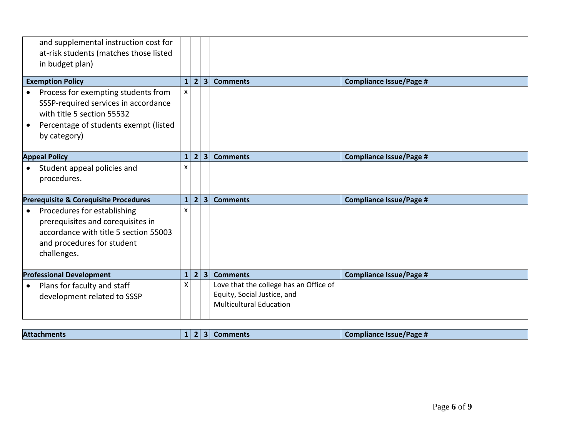| and supplemental instruction cost for<br>at-risk students (matches those listed<br>in budget plan)                                                                  |              |                |                         |                                                                                                         |                                |
|---------------------------------------------------------------------------------------------------------------------------------------------------------------------|--------------|----------------|-------------------------|---------------------------------------------------------------------------------------------------------|--------------------------------|
| <b>Exemption Policy</b>                                                                                                                                             | $\mathbf{1}$ | 2              | 3 <sup>1</sup>          | <b>Comments</b>                                                                                         | <b>Compliance Issue/Page #</b> |
| Process for exempting students from<br>SSSP-required services in accordance<br>with title 5 section 55532<br>Percentage of students exempt (listed<br>by category)  | x            |                |                         |                                                                                                         |                                |
| <b>Appeal Policy</b>                                                                                                                                                | $\mathbf{1}$ | $\overline{2}$ | $\overline{\mathbf{3}}$ | <b>Comments</b>                                                                                         | <b>Compliance Issue/Page #</b> |
| Student appeal policies and<br>$\bullet$<br>procedures.                                                                                                             | x            |                |                         |                                                                                                         |                                |
| Prerequisite & Corequisite Procedures                                                                                                                               | $\mathbf{1}$ | 2 <sup>1</sup> | 3 <sup>1</sup>          | <b>Comments</b>                                                                                         | <b>Compliance Issue/Page #</b> |
| Procedures for establishing<br>$\bullet$<br>prerequisites and corequisites in<br>accordance with title 5 section 55003<br>and procedures for student<br>challenges. | x            |                |                         |                                                                                                         |                                |
| <b>Professional Development</b>                                                                                                                                     | $\mathbf{1}$ | 2 <sup>1</sup> | $\overline{3}$          | <b>Comments</b>                                                                                         | <b>Compliance Issue/Page #</b> |
| Plans for faculty and staff<br>$\bullet$<br>development related to SSSP                                                                                             | Χ            |                |                         | Love that the college has an Office of<br>Equity, Social Justice, and<br><b>Multicultural Education</b> |                                |

| <b>Attac</b> | asc m<br><b>BBD</b> |
|--------------|---------------------|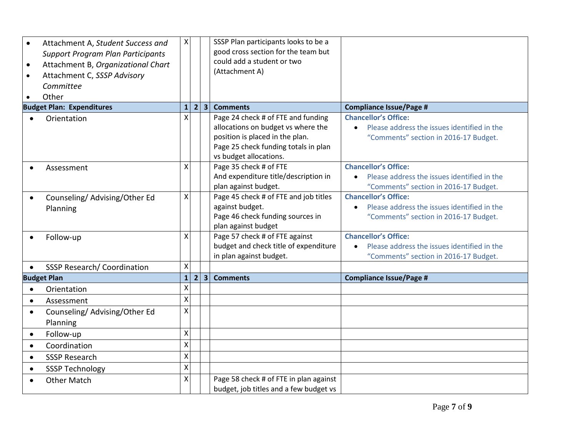| Attachment A, Student Success and<br>$\bullet$<br><b>Support Program Plan Participants</b><br>Attachment B, Organizational Chart<br>$\bullet$<br>Attachment C, SSSP Advisory<br>$\bullet$<br>Committee<br>Other | $\boldsymbol{\mathsf{X}}$ |                |                | SSSP Plan participants looks to be a<br>good cross section for the team but<br>could add a student or two<br>(Attachment A)                                                   |                                                                                                                     |
|-----------------------------------------------------------------------------------------------------------------------------------------------------------------------------------------------------------------|---------------------------|----------------|----------------|-------------------------------------------------------------------------------------------------------------------------------------------------------------------------------|---------------------------------------------------------------------------------------------------------------------|
| <b>Budget Plan: Expenditures</b>                                                                                                                                                                                | $\mathbf{1}$              | $\overline{2}$ | 3 <sup>1</sup> | <b>Comments</b>                                                                                                                                                               | <b>Compliance Issue/Page #</b>                                                                                      |
| Orientation                                                                                                                                                                                                     | X                         |                |                | Page 24 check # of FTE and funding<br>allocations on budget vs where the<br>position is placed in the plan.<br>Page 25 check funding totals in plan<br>vs budget allocations. | <b>Chancellor's Office:</b><br>Please address the issues identified in the<br>"Comments" section in 2016-17 Budget. |
| Assessment                                                                                                                                                                                                      | X                         |                |                | Page 35 check # of FTE<br>And expenditure title/description in<br>plan against budget.                                                                                        | <b>Chancellor's Office:</b><br>Please address the issues identified in the<br>"Comments" section in 2016-17 Budget. |
| Counseling/Advising/Other Ed<br>$\bullet$<br>Planning                                                                                                                                                           | $\mathsf{X}$              |                |                | Page 45 check # of FTE and job titles<br>against budget.<br>Page 46 check funding sources in<br>plan against budget                                                           | <b>Chancellor's Office:</b><br>Please address the issues identified in the<br>"Comments" section in 2016-17 Budget. |
| Follow-up                                                                                                                                                                                                       | Χ                         |                |                | Page 57 check # of FTE against<br>budget and check title of expenditure<br>in plan against budget.                                                                            | <b>Chancellor's Office:</b><br>Please address the issues identified in the<br>"Comments" section in 2016-17 Budget. |
| <b>SSSP Research/ Coordination</b><br>$\bullet$                                                                                                                                                                 | Χ                         |                |                |                                                                                                                                                                               |                                                                                                                     |
| <b>Budget Plan</b>                                                                                                                                                                                              | $\mathbf{1}$              | 2 <sup>1</sup> | 3 <sup>1</sup> | <b>Comments</b>                                                                                                                                                               | <b>Compliance Issue/Page #</b>                                                                                      |
| Orientation<br>$\bullet$                                                                                                                                                                                        | $\mathsf{\mathsf{X}}$     |                |                |                                                                                                                                                                               |                                                                                                                     |
| Assessment<br>$\bullet$                                                                                                                                                                                         | $\mathsf{\chi}$           |                |                |                                                                                                                                                                               |                                                                                                                     |
| Counseling/Advising/Other Ed<br>$\bullet$<br>Planning                                                                                                                                                           | $\mathsf{\chi}$           |                |                |                                                                                                                                                                               |                                                                                                                     |
| Follow-up<br>$\bullet$                                                                                                                                                                                          | $\pmb{\mathsf{X}}$        |                |                |                                                                                                                                                                               |                                                                                                                     |
| Coordination<br>$\bullet$                                                                                                                                                                                       | $\mathsf{x}$              |                |                |                                                                                                                                                                               |                                                                                                                     |
| <b>SSSP Research</b><br>$\bullet$                                                                                                                                                                               | $\mathsf{\chi}$           |                |                |                                                                                                                                                                               |                                                                                                                     |
| <b>SSSP Technology</b><br>$\bullet$                                                                                                                                                                             | $\mathsf{\chi}$           |                |                |                                                                                                                                                                               |                                                                                                                     |
| <b>Other Match</b><br>$\bullet$                                                                                                                                                                                 | X                         |                |                | Page 58 check # of FTE in plan against<br>budget, job titles and a few budget vs                                                                                              |                                                                                                                     |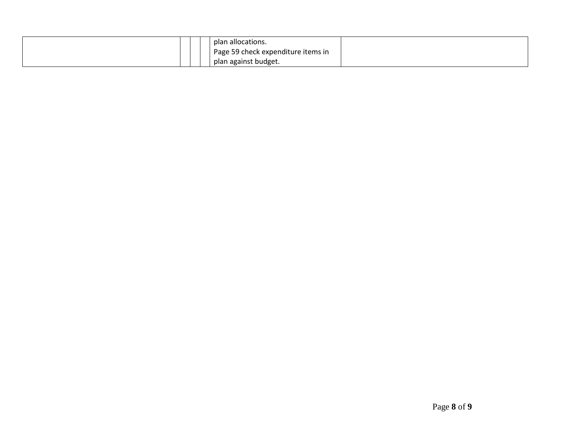|  |  | plan allocations.                  |  |
|--|--|------------------------------------|--|
|  |  | Page 59 check expenditure items in |  |
|  |  | plan against budget.               |  |